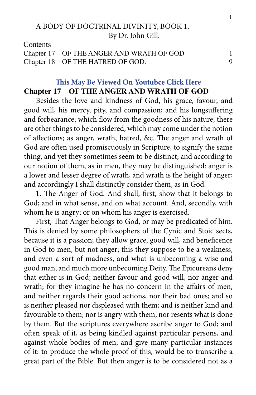# A BODY OF DOCTRINAL DIVINITY, BOOK 1, By Dr. John Gill.

**Contents** 

| Chapter 17 OF THE ANGER AND WRATH OF GOD |  |
|------------------------------------------|--|
| Chapter 18 OF THE HATRED OF GOD.         |  |

# **[This May Be Viewed On Youtubce Click Here](https://youtu.be/HkquE48cApA) Chapter 17 OF THE ANGER AND WRATH OF GOD**

Besides the love and kindness of God, his grace, favour, and good will, his mercy, pity, and compassion; and his longsuffering and forbearance; which flow from the goodness of his nature; there are other things to be considered, which may come under the notion of affections; as anger, wrath, hatred, &c. The anger and wrath of God are often used promiscuously in Scripture, to signify the same thing, and yet they sometimes seem to be distinct; and according to our notion of them, as in men, they may be distinguished: anger is a lower and lesser degree of wrath, and wrath is the height of anger; and accordingly I shall distinctly consider them, as in God.

**1.** The Anger of God. And shall, first, show that it belongs to God; and in what sense, and on what account. And, secondly, with whom he is angry; or on whom his anger is exercised.

First, That Anger belongs to God, or may be predicated of him. This is denied by some philosophers of the Cynic and Stoic sects, because it is a passion; they allow grace, good will, and beneficence in God to men, but not anger; this they suppose to be a weakness, and even a sort of madness, and what is unbecoming a wise and good man, and much more unbecoming Deity. The Epicureans deny that either is in God; neither favour and good will, nor anger and wrath; for they imagine he has no concern in the affairs of men, and neither regards their good actions, nor their bad ones; and so is neither pleased nor displeased with them; and is neither kind and favourable to them; nor is angry with them, nor resents what is done by them. But the scriptures everywhere ascribe anger to God; and often speak of it, as being kindled against particular persons, and against whole bodies of men; and give many particular instances of it: to produce the whole proof of this, would be to transcribe a great part of the Bible. But then anger is to be considered not as a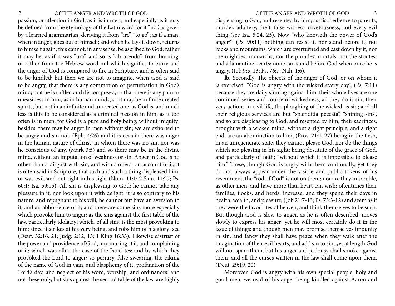## 2 Of THE ANGER AND WROTH OF GOD 3

passion, or affection in God, as it is in men; and especially as it may be defined from the etymology of the Latin word for it "ira", as given by a learned grammarian, deriving it from "ire", "to go"; as if a man, when in anger, goes out of himself; and when he lays it down, returns to himself again; this cannot, in any sense, be ascribed to God: rather it may be, as if it was "ura", and so is "ab urendo", from burning; or rather from the Hebrew word mil which signifies to burn; and the anger of God is compared to fire in Scripture, and is often said to be kindled; but then we are not to imagine, when God is said to be angry, that there is any commotion or perturbation in God's mind; that he is ruffled and discomposed, or that there is any pain or uneasiness in him, as in human minds; so it may be in finite created spirits, but not in an infinite and uncreated one, as God is: and much less is this to be considered as a criminal passion in him, as it too often is in men; for God is a pure and holy being; without iniquity: besides, there may be anger in men without sin; we are exhorted to be angry and sin not, (Eph. 4:26) and it is certain there was anger in the human nature of Christ, in whom there was no sin, nor was he conscious of any, (Mark 3:5) and so there may be in the divine mind, without an imputation of weakness or sin. Anger in God is no other than a disgust with sin, and with sinners, on account of it; it is often said in Scripture, that such and such a thing displeased him, or was evil, and not right in his sight (Num. 11:1; 2 Sam. 11:27; Ps. 60:1; Isa. 59:15). All sin is displeasing to God; he cannot take any pleasure in it, nor look upon it with delight; it is so contrary to his nature, and repugnant to his will, he cannot but have an aversion to it, and an abhorrence of it; and there are some sins more especially which provoke him to anger; as the sins against the first table of the law, particularly idolatry; which, of all sins, is the most provoking to him: since it strikes at his very being, and robs him of his glory; see (Deut. 32:16, 21; Judg. 2:12, 13; 1 King 16:33). Likewise distrust of the power and providence of God, murmuring at it, and complaining of it; which was often the case of the Israelites; and by which they provoked the Lord to anger; so perjury, false swearing, the taking of the name of God in vain, and blasphemy of it; profanation of the Lord's day, and neglect of his word, worship, and ordinances: and not these only, but sins against the second table of the law, are highly

displeasing to God, and resented by him; as disobedience to parents, murder, adultery, theft, false witness, covetousness, and every evil thing (see Isa. 5:24, 25). Now "who knoweth the power of God's anger?" (Ps. 90:11) nothing can resist it, nor stand before it; not rocks and mountains, which are overturned and cast down by it; nor the mightiest monarchs, nor the proudest mortals, nor the stoutest and adamantine hearts; none can stand before God when once he is angry, (Job 9:5, 13; Ps. 76:7; Nah. 1:6).

**lb.** Secondly, The objects of the anger of God, or on whom it is exercised. "God is angry with the wicked every day", (Ps. 7:11) because they are daily sinning against him; their whole lives are one continued series and course of wickedness; all they do is sin; their very actions in civil life, the ploughing of the wicked, is sin; and all their religious services are but "splendida peccata", "shining sins", and so are displeasing to God, and resented by him; their sacrifices, brought with a wicked mind, without a right principle, and a right end, are an abomination to him, (Prov. 21:4, 27) being in the flesh, in an unregenerate state, they cannot please God, nor do the things which are pleasing in his sight; being destitute of the grace of God, and particularly of faith; "without which it is impossible to please him." These, though God is angry with them continually, yet they do not always appear under the visible and public tokens of his resentment; the "rod of God" is not on them; nor are they in trouble, as other men, and have more than heart can wish; oftentimes their families, flocks, and herds, increase; and they spend their days in health, wealth, and pleasure, (Job 21:7-13; Ps. 73:3-12) and seem as if they were the favourites of heaven, and think themselves to be such. But though God is slow to anger, as he is often described, moves slowly to express his anger; yet he will most certainly do it in the issue of things; and though men may promise themselves impunity in sin, and fancy they shall have peace when they walk after the imagination of their evil hearts, and add sin to sin; yet at length God will not spare them; but his anger and jealousy shall smoke against them, and all the curses written in the law shall come upon them, (Deut. 29:19, 20).

Moreover, God is angry with his own special people, holy and good men; we read of his anger being kindled against Aaron and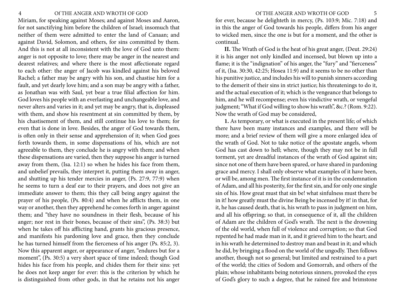Miriam, for speaking against Moses; and against Moses and Aaron, for not sanctifying him before the children of Israel; insomuch that neither of them were admitted to enter the land of Canaan; and against David, Solomon, and others, for sins committed by them. And this is not at all inconsistent with the love of God unto them: anger is not opposite to love; there may be anger in the nearest and dearest relatives; and where there is the most affectionate regard to each other: the anger of Jacob was kindled against his beloved Rachel; a father may be angry with his son, and chastise him for a fault, and yet dearly love him; and a son may be angry with a father, as Jonathan was with Saul, yet bear a true filial affection for him. God loves his people with an everlasting and unchangeable love, and never alters and varies in it; and yet may be angry, that is, displeased with them, and show his resentment at sin committed by them, by his chastisement of them, and still continue his love to them; for even that is done in love. Besides, the anger of God towards them, is often only in their sense and apprehension of it; when God goes forth towards them, in some dispensations of his, which are not agreeable to them, they conclude he is angry with them; and when these dispensations are varied, then they suppose his anger is turned away from them, (Isa. 12:1) so when he hides his face from them, and unbelief prevails, they interpret it, putting them away in anger, and shutting up his tender mercies in anger, (Ps. 27:9, 77:9) when he seems to turn a deaf ear to their prayers, and does not give an immediate answer to them; this they call being angry against the prayer of his people, (Ps. 80:4) and when he afflicts them, in one way or another, then they apprehend he comes forth in anger against them; and "they have no soundness in their flesh, because of his anger; nor rest in their bones, because of their sins", (Ps. 38:3) but when he takes off his afflicting hand, grants his gracious presence, and manifests his pardoning love and grace, then they conclude he has turned himself from the fierceness of his anger (Ps. 85:2, 3). Now this apparent anger, or appearance of anger, "endures but for a moment", (Ps. 30:5) a very short space of time indeed; though God hides his face from his people, and chides them for their sins: yet he does not keep anger for ever: this is the criterion by which he is distinguished from other gods, in that he retains not his anger

4 Of THE ANGER AND WROTH OF GOD Of THE ANGER AND WROTH OF GOD 5

for ever, because he delighteth in mercy, (Ps. 103:9; Mic. 7:18) and in this the anger of God towards his people, differs from his anger to wicked men, since the one is but for a moment, and the other is continual.

**II.** The Wrath of God is the heat of his great anger, (Deut. 29:24) it is his anger not only kindled and incensed, but blown up into a flame; it is the "indignation" of his anger, the "fury" and "fierceness" of it, (Isa. 30:30, 42:25; Hosea 11:9) and it seems to be no other than his punitive justice, and includes his will to punish sinners according to the demerit of their sins in strict justice; his threatenings to do it, and the actual execution of it; which is the vengeance that belongs to him, and he will recompense; even his vindictive wrath, or vengeful judgment; "What if God willing to show his wrath", &c.? (Rom. 9:22). Now the wrath of God may be considered,

**1.** As temporary, or what is executed in the present life; of which there have been many instances and examples, and there will be more; and a brief review of them will give a more enlarged idea of the wrath of God. Not to take notice of the apostate angels, whom God has cast down to hell; where, though they may not be in full torment, yet are dreadful instances of the wrath of God against sin; since not one of them have been spared, or have shared in pardoning grace and mercy. I shall only observe what examples of it have been, or will be, among men. The first instance of it is in the condemnation of Adam, and all his posterity, for the first sin, and for only one single sin of his. How great must that sin be! what sinfulness must there be in it! how greatly must the divine Being be incensed by it! in that, for it, he has caused death, that is, his wrath to pass in judgment on him, and all his offspring; so that, in consequence of it, all the children of Adam are the children of God's wrath. The next is the drowning of the old world, when full of violence and corruption; so that God repented he had made man in it, and it grieved him to the heart; and in his wrath he determined to destroy man and beast in it; and which he did, by bringing a flood on the world of the ungodly. Then follows another, though not so general; but limited and restrained to a part of the world; the cities of Sodom and Gomorrah, and others of the plain; whose inhabitants being notorious sinners, provoked the eyes of God's glory to such a degree, that he rained fire and brimstone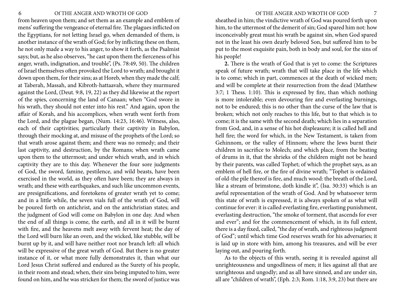### 6 Of THE ANGER AND WROTH OF GOD Of THE ANGER AND WROTH OF GOD 7

from heaven upon them; and set them as an example and emblem of mens' suffering the vengeance of eternal fire. The plagues inflicted on the Egyptians, for not letting Israel go, when demanded of them, is another instance of the wrath of God; for by inflicting these on them, he not only made a way to his anger, to show it forth, as the Psalmist says; but, as he also observes, "he cast upon them the fierceness of his anger, wrath, indignation, and trouble", (Ps. 78:49, 50). The children of Israel themselves often provoked the Lord to wrath; and brought it down upon them, for their sins; as at Horeb, when they made the calf; at Taberah, Massah, and Kibroth-hattaavah, where they murmured against the Lord, (Deut. 9:8, 19, 22) as they did likewise at the report of the spies, concerning the land of Canaan; when "God swore in his wrath, they should not enter into his rest." And again, upon the affair of Korah, and his accomplices, when wrath went forth from the Lord, and the plague began, (Num. 14:23, 16:46). Witness, also, each of their captivities; particularly their captivity in Babylon, through their mocking at, and misuse of the prophets of the Lord; so that wrath arose against them; and there was no remedy; and their last captivity, and destruction, by the Romans; when wrath came upon them to the uttermost; and under which wrath, and in which captivity they are to this day. Whenever the four sore judgments of God, the sword, famine, pestilence, and wild beasts, have been exercised in the world, as they often have been; they are always in wrath; and these with earthquakes, and such like uncommon events, are presignifications, and foretokens of greater wrath yet to come; and in a little while, the seven vials full of the wrath of God, will be poured forth on antichrist, and on the antichristian states; and the judgment of God will come on Babylon in one day. And when the end of all things is come, the earth, and all in it will be burnt with fire, and the heavens melt away with fervent heat; the day of the Lord will burn like an oven, and the wicked, like stubble, will be burnt up by it, and will have neither root nor branch left: all which will be expressive of the great wrath of God. But there is no greater instance of it, or what more fully demonstrates it, than what our Lord Jesus Christ suffered and endured as the Surety of his people, in their room and stead; when, their sins being imputed to him, were found on him, and he was stricken for them; the sword of justice was

sheathed in him; the vindictive wrath of God was poured forth upon him, to the uttermost of the demerit of sin; God spared him not: how inconceivably great must his wrath be against sin, when God spared not in the least his own dearly beloved Son, but suffered him to be put to the most exquisite pain, both in body and soul, for the sins of his people!

**2.** There is the wrath of God that is yet to come: the Scriptures speak of future wrath; wrath that will take place in the life which is to come; which in part, commences at the death of wicked men; and will be complete at their resurrection from the dead (Matthew 3:7; 1 Thess. 1:10). This is expressed by fire, than which nothing is more intolerable; even devouring fire and everlasting burnings, not to be endured; this is no other than the curse of the law that is broken; which not only reaches to this life, but to that which is to come; it is the same with the second death; which lies in a separation from God, and, in a sense of his hot displeasure; it is called hell and hell fire; the word for which, in the New Testament, is taken from Gehinnom, or the valley of Hinnom; where the Jews burnt their children in sacrifice to Molech; and which place, from the beating of drums in it, that the shrieks of the children might not be heard by their parents, was called Tophet; of which the prophet says, as an emblem of hell fire, or the fire of divine wrath; "Tophet is ordained of old-the pile thereof is fire, and much wood: the breath of the Lord, like a stream of brimstone, doth kindle it", (Isa. 30:33) which is an awful representation of the wrath of God. And by whatsoever term this state of wrath is expressed, it is always spoken of as what will continue for ever: it is called everlasting fire, everlasting punishment, everlasting destruction, "the smoke of torment, that ascends for ever and ever"; and for the commencement of which, in its full extent, there is a day fixed, called, "the day of wrath, and righteous judgment of God"; until which time God reserves wrath for his adversaries; it is laid up in store with him, among his treasures, and will be ever laying out, and pouring forth.

As to the objects of this wrath, seeing it is revealed against all unrighteousness and ungodliness of men; it lies against all that are unrighteous and ungodly; and as all have sinned, and are under sin, all are "children of wrath", (Eph. 2:3; Rom. 1:18, 3:9, 23) but there are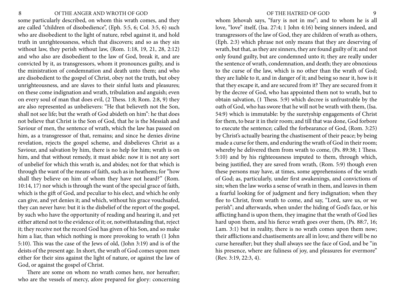## <span id="page-4-0"></span>8 OF THE ANGER AND WROTH OF GOD 9

some particularly described, on whom this wrath comes, and they are called "children of disobedience", (Eph. 5:5, 6; Col. 3:5, 6) such who are disobedient to the light of nature, rebel against it, and hold truth in unrighteousness, which that discovers; and so as they sin without law, they perish without law, (Rom. 1:18, 19, 21, 28, 2:12) and who also are disobedient to the law of God, break it, and are convicted by it, as transgressors, whom it pronounces guilty, and is the ministration of condemnation and death unto them; and who are disobedient to the gospel of Christ, obey not the truth, but obey unrighteousness, and are slaves to their sinful lusts and pleasures; on these come indignation and wrath, tribulation and anguish; even on every soul of man that does evil, (2 Thess. 1:8; Rom. 2:8, 9) they are also represented as unbelievers: "He that believeth not the Son, shall not see life; but the wrath of God abideth on him": he that does not believe that Christ is the Son of God, that he is the Messiah and Saviour of men, the sentence of wrath, which the law has passed on him, as a transgressor of that, remains; and since he denies divine revelation, rejects the gospel scheme, and disbelieves Christ as a Saviour, and salvation by him, there is no help for him; wrath is on him, and that without remedy, it must abide: now it is not any sort of unbelief for which this wrath is, and abides; not for that which is through the want of the means of faith, such as in heathens; for "how shall they believe on him of whom they have not heard?" (Rom. 10:14, 17) nor which is through the want of the special grace of faith, which is the gift of God, and peculiar to his elect, and which he only can give, and yet denies it; and which, without his grace vouchsafed, they can never have: but it is the disbelief of the report of the gospel, by such who have the opportunity of reading and hearing it, and yet either attend not to the evidence of it; or, notwithstanding that, reject it; they receive not the record God has given of his Son, and so make him a liar, than which nothing is more provoking to wrath (1 John 5:10). This was the case of the Jews of old, (John 3:19) and is of the deists of the present age. In short, the wrath of God comes upon men either for their sins against the light of nature, or against the law of God, or against the gospel of Christ.

There are some on whom no wrath comes here, nor hereafter; who are the vessels of mercy, afore prepared for glory: concerning

whom Jehovah says, "fury is not in me"; and to whom he is all love, "love" itself, (Isa. 27:4; 1 John 4:16) being sinners indeed, and transgressors of the law of God, they are children of wrath as others, (Eph. 2:3) which phrase not only means that they are deserving of wrath, but that, as they are sinners, they are found guilty of it; and not only found guilty, but are condemned unto it; they are really under the sentence of wrath, condemnation, and death; they are obnoxious to the curse of the law, which is no other than the wrath of God; they are liable to it, and in danger of it; and being so near it, how is it that they escape it, and are secured from it? They are secured from it by the decree of God, who has appointed them not to wrath, but to obtain salvation, (1 Thess. 5:9) which decree is unfrustrable by the oath of God, who has swore that he will not be wrath with them, (Isa. 54:9) which is immutable: by the suretyship engagements of Christ for them, to bear it in their room; and till that was done, God forbore to execute the sentence; called the forbearance of God, (Rom. 3:25) by Christ's actually bearing the chastisement of their peace; by being made a curse for them, and enduring the wrath of God in their room; whereby he delivered them from wrath to come, (Ps. 89:38; 1 Thess. 5:10) and by his righteousness imputed to them, through which, being justified, they are saved from wrath, (Rom. 5:9) though even these persons may have, at times, some apprehensions of the wrath of God; as, particularly, under first awakenings, and convictions of sin; when the law works a sense of wrath in them, and leaves in them a fearful looking for of judgment and fiery indignation; when they flee to Christ, from wrath to come, and say, "Lord, save us, or we perish"; and afterwards, when under the hiding of God's face, or his afflicting hand is upon them, they imagine that the wrath of God lies hard upon them, and his fierce wrath goes over them, (Ps. 88:7, 16; Lam. 3:1) but in reality, there is no wrath comes upon them now; their afflictions and chastisements are all in love; and there will be no curse hereafter; but they shall always see the face of God, and be "in his presence, where are fuliness of joy, and pleasures for evermore" (Rev. 3:19, 22:3, 4).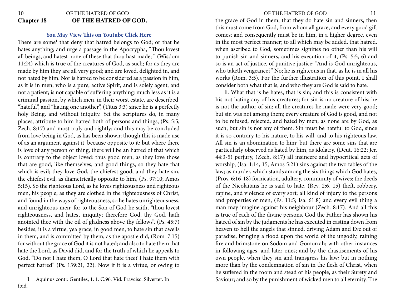# 10 OF THE HATRED OF GOD 11 **Chapter 18 OF THE HATRED OF GOD.**

## **[You May View This on Youtube Click Here](https://youtu.be/3FrGc3d2Ks4)**

There are some<sup>1</sup> that deny that hatred belongs to God; or that he hates anything; and urge a passage in the Apocrypha, "Thou lovest all beings, and hatest none of these that thou hast made; " (Wisdom 11:24) which is true of the creatures of God, as such; for as they are made by him they are all very good; and are loved, delighted in, and not hated by him. Nor is hatred to be considered as a passion in him, as it is in men; who is a pure, active Spirit, and is solely agent, and not a patient; is not capable of suffering anything: much less as it is a criminal passion, by which men, in their worst estate, are described, "hateful", and "hating one another", (Titus 3:3) since he is a perfectly holy Being, and without iniquity. Yet the scriptures do, in many places, attribute to him hatred both of persons and things, (Ps. 5:5; Zech. 8:17) and most truly and rightly; and this may be concluded from love being in God, as has been shown; though this is made use of as an argument against it, because opposite to it; but where there is love of any person or thing, there will be an hatred of that which is contrary to the object loved: thus good men, as they love those that are good, like themselves, and good things, so they hate that which is evil; they love God, the chiefest good; and they hate sin, the chiefest evil, as diametrically opposite to him, (Ps. 97:10; Amos 5:15). So the righteous Lord, as he loves righteousness and righteous men, his people; as they are clothed in the righteousness of Christ, and found in the ways of righteousness, so he hates unrighteousness, and unrighteous men; for to the Son of God he saith, "thou lovest righteousness, and hatest iniquity; therefore God, thy God, hath anointed thee with the oil of gladness above thy fellows", (Ps. 45:7) besides, it is a virtue, yea grace, in good men, to hate sin that dwells in them, and is committed by them, as the apostle did, (Rom. 7:15) for without the grace of God it is not hated; and also to hate them that hate the Lord, as David did, and for the truth of which he appeals to God, "Do not I hate them, O Lord that hate thee? I hate them with perfect hatred" (Ps. 139:21, 22). Now if it is a virtue, or owing to

the grace of God in them, that they do hate sin and sinners, then this must come from God, from whom all grace, and every good gift comes; and consequently must be in him, in a higher degree, even in the most perfect manner; to all which may be added, that hatred, when ascribed to God, sometimes signifies no other than his will to punish sin and sinners, and his execution of it, (Ps. 5:5, 6) and so is an act of justice, of punitive justice; "And is God unrighteous, who taketh vengeance?" No; he is righteous in that, as he is in all his works (Rom. 3:5). For the further illustration of this point, I shall consider both what that is; and who they are God is said to hate.

**1.** What that is he hates, that is sin; and this is consistent with his not hating any of his creatures; for sin is no creature of his; he is not the author of sin; all the creatures he made were very good; but sin was not among them; every creature of God is good, and not to be refused, rejected, and hated by men; as none are by God, as such; but sin is not any of them. Sin must be hateful to God, since it is so contrary to his nature, to his will, and to his righteous law. All sin is an abomination to him; but there are some sins that are particularly observed as hated by him, as idolatry, (Deut. 16:22; Jer. 44:3-5) perjury, (Zech. 8:17) all insincere and hypocritical acts of worship, (Isa. 1:14, 15; Amos 5:21) sins against the two tables of the law; as murder, which stands among the six things which God hates, (Prov. 6:16-18) fornication, adultery, community of wives; the deeds of the Nicolaitans he is said to hate, (Rev. 2:6, 15) theft, robbery, rapine, and violence of every sort; all kind of injury to the persons and properties of men, (Ps. 11:5; Isa. 61:8) and every evil thing a man may imagine against his neighbour (Zech. 8:17). And all this is true of each of the divine persons. God the Father has shown his hatred of sin by the judgments he has executed in casting down from heaven to hell the angels that sinned, driving Adam and Eve out of paradise, bringing a flood upon the world of the ungodly, raining fire and brimstone on Sodom and Gomorrah; with other instances in following ages, and later ones; and by the chastisements of his own people, when they sin and transgress his law; but in nothing more than by the condemnation of sin in the flesh of Christ, when he suffered in the room and stead of his people, as their Surety and Saviour; and so by the punishment of wicked men to all eternity. The

<sup>1</sup> Aquinus contr. Gentiles, 1. 1. C.96. Vid. Fravcisc. Silverter. In ibid.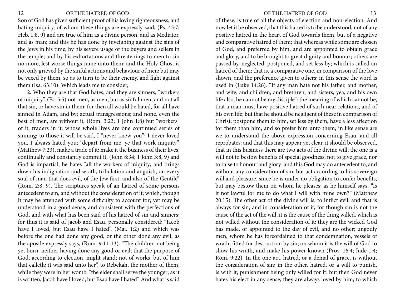Son of God has given sufficient proof of his loving righteousness, and hating iniquity, of whom these things are expressly said, (Ps. 45:7; Heb. 1:8, 9) and are true of him as a divine person, and as Mediator, and as man; and this he has done by inveighing against the sins of the Jews in his time; by his severe usage of the buyers and sellers in the temple; and by his exhortations and threatenings to men to sin no more, lest worse things came unto them: and the Holy Ghost is not only grieved by the sinful actions and behaviour of men; but may be vexed by them, so as to turn to be their enemy, and fight against them (Isa. 63:10). Which leads me to consider,

**2.** Who they are that God hates; and they are sinners, "workers of iniquity", (Ps. 5:5) not men, as men, but as sinful men; and not all that sin, or have sin in them; for then all would be hated, for all have sinned in Adam, and by; actual transgressions; and none, even the best of men, are without it, (Rom. 3:23; 1 John 1:8) but "workers" of it, traders in it, whose whole lives are one continued series of sinning; to those it will be said, I "never knew you"; I never loved you, I always hated you; "depart from me, ye that work iniquity", (Matthew 7:23), make a trade of it; make it the business of their lives, continually and constantly commit it, (John 8:34; 1 John 3:8, 9) and God is impartial, he hates "all the workers of iniquity; and brings down his indignation and wrath, tribulation and anguish, on every soul of man that does evil, of the Jew first, and also of the Gentile" (Rom. 2:8, 9). The scriptures speak of an hatred of some persons antecedent to sin, and without the consideration of it; which, though it may be attended with some difficulty to account for; yet may be understood in a good sense, and consistent with the perfections of God, and with what has been said of his hatred of sin and sinners; for thus it is said of Jacob and Esau, personally considered; "Jacob have I loved, but Esau have I hated", (Mai. 1:2) and which was before the one had done any good, or the other done any evil; as the apostle expressly says, (Rom. 9:11-13). "The children not being yet born, neither having done any good or evil; that the purpose of God, according to election, might stand; not of works, but of him that calleth; it was said unto her", to Rebekah, the mother of them, while they were in her womb, "the elder shall serve the younger; as it is written, Jacob have I loved, but Esau have I hated". And what is said

### 12 OF THE HATRED OF GOD OF THE HATRED OF GOD 13

of these, is true of all the objects of election and non-election. And now let it be observed, that this hatred is to be understood, not of any positive hatred in the heart of God towards them, but of a negative and comparative hatred of them; that whereas while some are chosen of God, and preferred by him, and are appointed to obtain grace and glory, and to be brought to great dignity and honour; others are passed by, neglected, postponed, and set less by; which is called an hatred of them; that is, a comparative one, in comparison of the love shown, and the preference given to others; in this sense the word is used in (Luke 14:26). "If any man hate not his father, and mother, and wife, and children, and brethren, and sisters, yea, and his own life also, he cannot be my disciple": the meaning of which cannot be, that a man must have positive hatred of such near relations, and of his own life; but that he should be negligent of these in comparison of Christ; postpone them to him, set less by them, have a less affection for them than him, and so prefer him unto them; in like sense are we to understand the above expression concerning Esau, and all reprobates: and that this may appear yet clear, it should be observed, that in this business there are two acts of the divine will; the one is a will not to bestow benefits of special goodness; not to give grace, nor to raise to honour and glory: and this God may do antecedent to, and without any consideration of sin; but act according to his sovereign will and pleasure, since he is under no obligation to confer benefits, but may bestow them on whom he pleases; as he himself says, "Is it not lawful for me to do what I will with mine own?" (Matthew 20:15). The other act of the divine will is, to inflict evil; and that is always for sin, and in consideration of it; for though sin is not the cause of the act of the will, it is the cause of the thing willed, which is not willed without the consideration of it; they are the wicked God has made, or appointed to the day of evil, and no other; ungodly men, whom he has foreordained to that condemnation, vessels of wrath, fitted for destruction by sin; on whom it is the will of God to show his wrath, and make his power known (Prov. 16:4; Jude 1:4; Rom. 9:22). In the one act, hatred, or a denial of grace, is without the consideration of sin; in the other, hatred, or a will to punish, is with it; punishment being only willed for it: but then God never hates his elect in any sense; they are always loved by him; to which